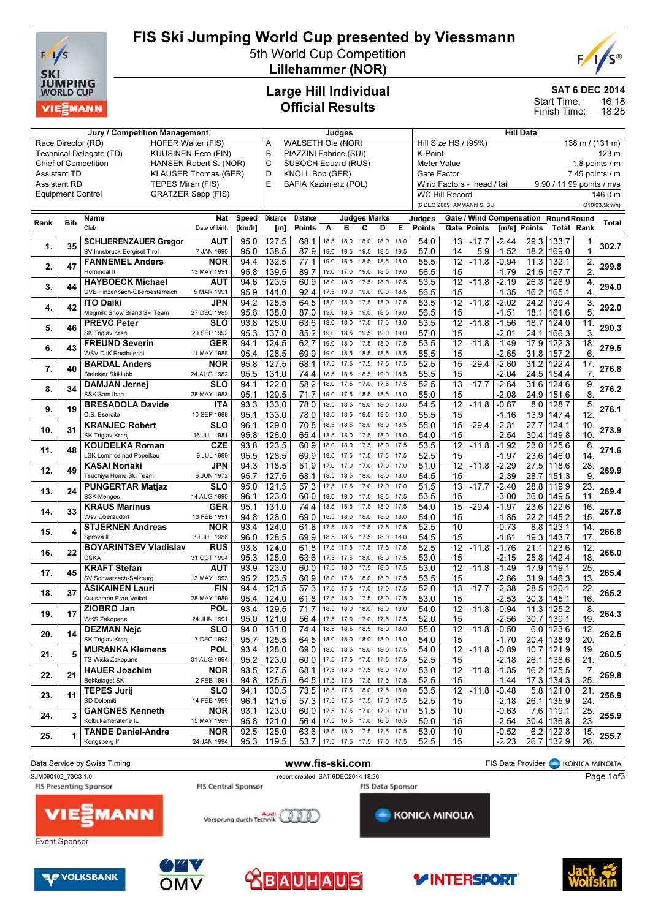

### FIS Ski Jumping World Cup presented by Viessmann

5th World Cup Competition Lillehammer (NOR)



SAT 6 DEC 2014

16:18 Start Time:

18:25 Finish Time:

#### Large Hill Individual Official Results

|                                                    |                          | Jury / Competition Management                         | Judges                                                  |              |                 |                               |                               |                                                           | <b>Hill Data</b>         |              |              |                                              |                       |                            |                    |                   |                                      |                 |                     |
|----------------------------------------------------|--------------------------|-------------------------------------------------------|---------------------------------------------------------|--------------|-----------------|-------------------------------|-------------------------------|-----------------------------------------------------------|--------------------------|--------------|--------------|----------------------------------------------|-----------------------|----------------------------|--------------------|-------------------|--------------------------------------|-----------------|---------------------|
|                                                    | Race Director (RD)       | <b>HOFER Walter (FIS)</b>                             | WALSETH Ole (NOR)<br>Α                                  |              |                 |                               |                               | Hill Size HS / (95%)<br>$138 \text{ m} / (131 \text{ m})$ |                          |              |              |                                              |                       |                            |                    |                   |                                      |                 |                     |
|                                                    |                          | Technical Delegate (TD)<br><b>KUUSINEN Eero (FIN)</b> | B<br>PIAZZINI Fabrice (SUI)<br>C<br>SUBOCH Eduard (RUS) |              |                 |                               |                               |                                                           | K-Point<br>123 m         |              |              |                                              |                       |                            |                    |                   |                                      |                 |                     |
|                                                    |                          | <b>Chief of Competition</b>                           | HANSEN Robert S. (NOR)                                  |              |                 |                               |                               |                                                           |                          |              |              | <b>Meter Value</b><br>1.8 points $\sqrt{}$ m |                       |                            |                    |                   |                                      |                 |                     |
| <b>Assistant TD</b><br><b>KLAUSER Thomas (GER)</b> |                          |                                                       |                                                         |              | D               | <b>KNOLL Bob (GER)</b>        |                               |                                                           |                          |              |              | Gate Factor                                  |                       |                            |                    |                   |                                      |                 | $7.45$ points $/ m$ |
|                                                    | <b>Assistant RD</b>      | TEPES Miran (FIS)                                     |                                                         |              | E               | <b>BAFIA Kazimierz (POL)</b>  |                               |                                                           |                          |              |              |                                              |                       | Wind Factors - head / tail |                    |                   | 9.90 / 11.99 points / m/s            |                 |                     |
|                                                    | <b>Equipment Control</b> |                                                       | <b>GRATZER Sepp (FIS)</b>                               |              |                 |                               |                               |                                                           |                          |              |              |                                              | <b>WC Hill Record</b> |                            |                    |                   |                                      |                 | 146.0 m             |
|                                                    |                          |                                                       |                                                         |              |                 |                               |                               |                                                           |                          |              |              |                                              |                       | (6 DEC 2009 AMMANN S. SUI  |                    |                   |                                      |                 | G10/93.5km/h)       |
|                                                    |                          | Name                                                  | Nat                                                     | Speed        | <b>Distance</b> | <b>Distance</b>               |                               |                                                           | <b>Judges Marks</b>      |              |              | Judges                                       |                       |                            |                    |                   | Gate / Wind Compensation Round Round |                 |                     |
| Rank                                               | <b>Bib</b>               | Club                                                  | Date of birth                                           | [km/h]       | [m]             | <b>Points</b>                 | A                             | в                                                         | С                        | D            | Е            | Points                                       |                       | Gate Points                |                    | [m/s] Points      | <b>Total Rank</b>                    |                 | <b>Total</b>        |
|                                                    |                          |                                                       |                                                         |              |                 |                               |                               |                                                           |                          |              |              |                                              |                       |                            |                    |                   |                                      |                 |                     |
| 1.                                                 | 35                       | <b>SCHLIERENZAUER Gregor</b>                          | AUT                                                     | 95.0         | 127.5           | 68.1                          | 18.5                          | 18.0                                                      | 18.0                     | 18.0         | 18.0         | 54.0                                         |                       | 13 - 17.7                  | $-2.44$            |                   | 29.3 133.7                           | 1.              | 302.7               |
|                                                    |                          | SV Innsbruck-Bergisel-Tirol                           | 7 JAN 1990                                              | 95.0         | 138.5           | 87.9                          | 19.0                          | 18.5                                                      | 19.5                     | 18.5         | 19.5         | 57.0                                         | 14                    | 5.9                        | $-1.52$            | 18.2              | 169.0                                | $\mathbf 1$     |                     |
| 2.                                                 | 47                       | <b>FANNEMEL Anders</b>                                | <b>NOR</b>                                              | 94.4         | 132.5           | 77.1                          | 19.0                          | 18.5                                                      | 18.5                     | 18.5         | 18.0         | 55.5                                         | 12                    | $-11.8$                    | $-0.94$            | 11.3              | 132.1                                | 2.              | 299.8               |
|                                                    |                          | Hornindal II                                          | 13 MAY 1991                                             | 95.8         | 139.5           | 89.7                          | 19.0                          | 17.0                                                      | 19.0                     | 18.5         | 19.0         | 56.5                                         | 15                    |                            | $-1.79$            | 21.5              | 167.7                                | 2.              |                     |
| 3.                                                 | 44                       | <b>HAYBOECK Michael</b>                               | AUT                                                     | 94.6         | 123.5           | 60.9                          | 18.0                          | 18.0                                                      | 17.5                     | 18.0         | 17.5         | 53.5                                         |                       | $12 - 11.8$                | $-2.19$            | 26.3              | 128.9                                | 4.              | 294.0               |
|                                                    |                          | UVB Hinzenbach-Oberoesterreich                        | 5 MAR 1991                                              | 95.9         | 141.0           | 92.4                          | 17.5                          | 19.0                                                      | 19.0                     | 19.0         | 18.5         | 56.5                                         | 15                    |                            | $-1.35$            | 16.2              | 165.1                                | 4.              |                     |
| 4.                                                 | 42                       | <b>ITO Daiki</b>                                      | JPN                                                     | 94.2         | 125.5           | 64.5                          | 18.0                          | 18.0                                                      | 17.5                     | 18.0         | 17.5         | 53.5                                         | $\overline{12}$       | $-11.8$                    | $-2.02$            | 24.2              | 130.4                                | 3.              | 292.0               |
|                                                    |                          | Megmilk Snow Brand Ski Team                           | 27 DEC 1985                                             | 95.6         | 138.0           | 87.0                          | 19.0                          | 18.5                                                      | 19.0                     | 18.5         | 19.0         | 56.5                                         | 15                    |                            | -1.51              | 18.1              | 161.6                                | 5.              |                     |
| 5.                                                 | 46                       | <b>PREVC Peter</b>                                    | <b>SLO</b>                                              | 93.8         | 125.0           | 63.6                          | 18.0                          | 18.0                                                      | 17.5                     | 17.5         | 18.0         | 53.5                                         | $\overline{12}$       | $-11.8$                    | $-1.56$            | 18.7              | 124.0                                | 11.             | 290.3               |
|                                                    |                          | SK Triglav Kranj                                      | 20 SEP 1992                                             | 95.3         | 137.0           | 85.2                          | 19.0                          | 18.5                                                      | 19.5                     | 19.0         | 19.0         | 57.0                                         | 15                    |                            | -2.01              |                   | 24.1   166.3                         | 3.              |                     |
| 6.                                                 | 43                       | <b>FREUND Severin</b>                                 | <b>GER</b>                                              | 94.1         | 124.5           | 62.7                          | 19.0                          | 18.0                                                      | 17.5                     | 18.0         | 17.5         | 53.5                                         | $\overline{12}$       | $-11.8$                    | $-1.49$            | 17.9              | 122.3                                | 18.             | 279.5               |
|                                                    |                          | WSV DJK Rastbuechl                                    | 11 MAY 1988                                             | 95.4         | 128.5           | 69.9                          | 19.0                          | 18.5                                                      | 18.5                     | 18.5         | 18.5         | 55.5                                         | 15                    |                            | -2.65              | 31.8              | 157.2                                | 6.              |                     |
| 7.                                                 | 40                       | <b>BARDAL Anders</b>                                  | <b>NOR</b>                                              | 95.8         | 127.5           | 68.1                          | 17.5                          | 17.5                                                      | 17.5                     | 17.5         | 17.5         | 52.5                                         | 15                    | $-29.4$                    | $-2.60$            | 31.2              | 122.4                                | 17.             | 276.8               |
|                                                    |                          | Steinkjer Skiklubb                                    | 24 AUG 1982                                             | 95.5         | 131.0           | 74.4                          | 18.5                          | 18.5                                                      | 18.5                     | 19.0         | 18.5         | 55.5                                         | 15                    |                            | $-2.04$            | 24.5              | 154.4                                | 7.              |                     |
| 8.                                                 | 34                       | <b>DAMJAN Jernej</b>                                  | <b>SLO</b>                                              | 94.1         | 122.0           | 58.2                          | 18.0                          | 17.5                                                      | 17.0                     | 17.5         | 17.5         | 52.5                                         | 13                    | $-17.7$                    | $-2.64$            | 31.6              | 124.6                                | 9.              | 276.2               |
|                                                    |                          | SSK Sam Ihan                                          | 28 MAY 1983                                             | 95.1         | 129.5           | 71.7                          | 19.0                          | 17.5                                                      | 18.5                     | 18.5         | 18.0         | 55.0                                         | 15                    |                            | -2.08              | 24.9              | 151.6                                | 8.              |                     |
| 9.                                                 | 19                       | <b>BRESADOLA Davide</b>                               | ITA                                                     | 93.3         | 133.0           | 78.0                          | 18.5                          | 18.5                                                      | 18.0                     | 18.0         | 18.0         | 54.5                                         | 12                    | $-11.8$                    | $-0.67$            | 8.0               | 128.7                                | 5.              | 276.1               |
|                                                    |                          | C.S. Esercito                                         | 10 SEP 1988                                             | 95.1         | 133.0           | 78.0                          | 18.5                          | 18.5                                                      | 18.5                     | 18.5         | 18.0         | 55.5                                         | 15                    |                            | -1.16              | 13.9              | 147.4                                | 12              |                     |
| 10.                                                | 31                       | <b>KRANJEC Robert</b>                                 | <b>SLO</b>                                              | 96.1         | 129.0           | 70.8                          | 18.5                          | 18.5                                                      | 18.0                     | 18.0         | 18.5         | 55.0                                         | $\overline{15}$       | $-29.4$                    | $-2.31$            | $\overline{27.7}$ | 124.1                                | 10.             | 273.9               |
|                                                    |                          | SK Triglav Kranj                                      | 16 JUL 1981                                             | 95.8         | 126.0           | 65.4                          | 18.5                          | 18.0                                                      | 17.5                     | 18.0         | 18.0         | 54.0                                         | 15                    |                            | $-2.54$            | 30.4              | 149.8                                | 10.             |                     |
| 11.                                                | 48                       | <b>KOUDELKA Roman</b>                                 | <b>CZE</b>                                              | 93.8         | 123.5           | 60.9                          | 18.0                          | 18.0                                                      | 17.5                     | 18.0         | 17.5         | 53.5                                         | $\overline{12}$       | $-11.8$                    | $-1.92$            | 23.0              | 125.6                                | 6.              | 271.6               |
|                                                    |                          | LSK Lomnice nad Popelkou                              | 9 JUL 1989                                              | 95.5         | 128.5           | 69.9                          | 18.0                          | 17.5                                                      | 17.5<br>17.0             | 17.5<br>17.0 | 17.5         | 52.5                                         | 15                    |                            | -1.97              | 23.6              | 146.0                                | 14.             |                     |
| 12.                                                | 49                       | <b>KASAI Noriaki</b>                                  | JPN                                                     | 94.3         | 118.5           | 51.9                          | 17.0                          | 17.0                                                      |                          |              | 17.0         | 51.0                                         |                       | $12 - 11.8$                | $-2.29$            | 27.5              | 118.6                                | 28.             | 269.9               |
|                                                    |                          | Tsuchiya Home Ski Team                                | 6 JUN 1972                                              | 95.7         | 127.5           | 68.1                          | 18.5<br>17.5                  | 18.5<br>17.5                                              | 18.0<br>17.0             | 18.0<br>17.0 | 18.0<br>17.0 | 54.5                                         | 15<br>13              |                            | $-2.39$            | 28.7              | 151.3                                | 9.              |                     |
| 13.                                                | 24                       | <b>PUNGERTAR Matjaz</b><br><b>SSK Menges</b>          | <b>SLO</b><br>14 AUG 1990                               | 95.0<br>96.1 | 121.5<br>123.0  | 57.3<br>60.0                  | 18.0                          | 18.0                                                      | 17.5                     | 18.5         | 17.5         | 51.5<br>53.5                                 | 15                    | $-17.7$                    | $-2.40$<br>$-3.00$ | 28.8<br>36.0      | 119.9<br>149.5                       | 23.<br>11.      | 269.4               |
|                                                    |                          | <b>KRAUS Marinus</b>                                  | <b>GER</b>                                              | 95.1         | 131.0           | 74.4                          | 18.5                          | 18.5                                                      | 17.5                     | 18.0         | 17.5         | 54.0                                         | 15                    | $-29.4$                    | $-1.97$            | 23.6              | 122.6                                | 16.             |                     |
| 14.                                                | 33                       | Wsv Oberaudorf                                        | 13 FEB 1991                                             | 94.8         | 128.0           | 69.0                          | 18.5                          | 18.0                                                      | 18.0                     | 18.0         | 18.0         | 54.0                                         | 15                    |                            | $-1.85$            | 22.2              | 145.2                                | 15.             | 267.8               |
|                                                    |                          | <b>STJERNEN Andreas</b>                               | <b>NOR</b>                                              | 93.4         | 124.0           | 61.8                          | 17.5                          | 18.0                                                      | 17.5                     | 17.5         | 17.5         | 52.5                                         | 10                    |                            | $-0.73$            | 8.8               | 123.1                                | $\overline{14}$ |                     |
| 15.                                                | 4                        | Sprova <sub>IL</sub>                                  | 30 JUL 1988                                             | 96.0         | 128.5           | 69.9                          | 18.5                          | 18.5                                                      | 17.5                     | 18.0         | 18.0         | 54.5                                         | 15                    |                            | -1.61              | 19.3              | 143.7                                | 17              | 266.8               |
|                                                    |                          | <b>BOYARINTSEV Vladislav</b>                          | <b>RUS</b>                                              | 93.8         | 124.0           | 61.8                          | 17.5                          | 17.5                                                      | 17.5                     | 17.5         | 17.5         | 52.5                                         | $\overline{12}$       | $-11.8$                    | $-1.76$            | 21.1              | 123.6                                | 12              |                     |
| 16.                                                | 22                       | <b>CSKA</b>                                           | 31 OCT 1994                                             | 95.3         | 125.0           | 63.6                          | 17.5                          | 17.5                                                      | 18.0                     | 18.0         | 17.5         | 53.0                                         | 15                    |                            | -2.15              | 25.8              | 142.4                                | 18              | 266.0               |
|                                                    |                          | <b>KRAFT Stefan</b>                                   | AUT                                                     | 93.9         | 123.0           | 60.0                          | 17.5                          | 18.0                                                      | 17.5                     | 18.0         | 17.5         | 53.0                                         | 12                    | $-11.8$                    | $-1.49$            | 17.9              | 119.1                                | 25.             |                     |
| 17.                                                | 45                       | SV Schwarzach-Salzburg                                | 13 MAY 1993                                             | 95.2         | 123.5           | 60.9                          | 18.0                          | 17.5                                                      | 18.0                     | 18.0         | 17.5         | 53.5                                         | 15                    |                            | $-2.66$            | 31.9              | 146.3                                | 13.             | 265.4               |
|                                                    |                          | <b>ASIKAINEN Lauri</b>                                | <b>FIN</b>                                              | 94.4         | 121.5           | 57.3                          | 17.5                          | 17.5                                                      | 17.0                     | 17.0         | 17.5         | 52.0                                         | $\overline{13}$       | $-17.7$                    | $-2.38$            | 28.5              | 120.1                                | $\overline{22}$ |                     |
| 18.                                                | 37                       | Kuusamon Erae-Veikot                                  | 28 MAY 1989                                             | 95.4         | 124.0           | 61.8                          | 17.5                          | 18.0                                                      | 17.5                     | 18.0         | 17.5         | 53.0                                         | 15                    |                            | $-2.53$            | 30.3              | 145.1                                | 16.             | 265.2               |
|                                                    |                          | ZIOBRO Jan                                            | <b>POL</b>                                              | 93.4         | 129.5           | 71.7                          |                               | 18.5 18.0                                                 | 18.0                     | 18.0         | 18.0         | 54.0                                         |                       | $12 - 11.8$                | $-0.94$            | 11.3              | 125.2                                | 8.              |                     |
| 19.                                                | 17                       | WKS Zakopane                                          | 24 JUN 1991                                             |              | $95.0$   121.0  | 56.4                          |                               | 17.5 17.0 17.0                                            |                          | 17.5 17.5    |              | 52.0                                         | 15                    |                            | $-2.56$            |                   | 30.7 139.1                           | 19.             | 264.3               |
|                                                    |                          | <b>DEZMAN Nejc</b>                                    | <b>SLO</b>                                              | 94.0         | 131.0           | 74.4                          |                               |                                                           | 18.5 18.5 18.5 18.0 18.0 |              |              | 55.0                                         |                       | $12 - 11.8 - 0.50$         |                    |                   | $6.0$ 123.6                          | 12.             |                     |
| 20.                                                | 14                       | SK Triglav Kranj                                      | 7 DEC 1992                                              | 95.7         | 125.5           | 64.5                          |                               |                                                           | 18.0 18.0 18.0 18.0 18.0 |              |              | 54.0                                         | 15                    |                            | $-1.70$            |                   | 20.4 138.9                           | 20.             | 262.5               |
|                                                    |                          | <b>MURANKA Klemens</b>                                | <b>POL</b>                                              | 93.4         | 128.0           | 69.0                          |                               |                                                           | 18.0 18.5 18.0 18.0 17.5 |              |              | 54.0                                         |                       | 12 -11.8                   | $-0.89$            |                   | 10.7 121.9                           | 19.             |                     |
| 21.                                                | 5                        | TS Wisla Zakopane                                     | 31 AUG 1994                                             | 95.2         | 123.0           |                               | 60.0 17.5 17.5 17.5 17.5 17.5 |                                                           |                          |              |              | 52.5                                         | 15                    |                            | -2.18              |                   | 26.1   138.6                         | 21.             | 260.5               |
|                                                    |                          | <b>HAUER Joachim</b>                                  | <b>NOR</b>                                              | 93.5         | 127.5           | 68.1                          |                               |                                                           | 17.5 18.0 17.5 18.0 17.0 |              |              | 53.0                                         |                       | 12 -11.8                   | $-1.35$            |                   | 16.2 125.5                           | 7.              | 259.8               |
| 22.                                                | 21                       | Bekkelaget SK                                         | 2 FEB 1991                                              | 94.8         | 125.5           |                               | 64.5 17.5 17.5 17.5 17.5 17.5 |                                                           |                          |              |              | 52.5                                         | 15                    |                            | -1.44              |                   | 17.3 134.3                           | 25.             |                     |
| 23.                                                | 11                       | <b>TEPES Jurij</b>                                    | <b>SLO</b>                                              | 94.1         | 130.5           | 73.5                          |                               |                                                           | 18.5 17.5 18.0 17.5 18.0 |              |              | 53.5                                         |                       | $12 - 11.8$                | $-0.48$            |                   | $5.8$   121.0                        | 21.             | 256.9               |
|                                                    |                          | SD Dolomiti                                           | 14 FEB 1989                                             | 96.1         | 121.5           | 57.3                          |                               |                                                           | 17.5 17.5 17.5 17.0 17.5 |              |              | 52.5                                         | 15                    |                            | $-2.18$            |                   | 26.1 135.9                           | 24.             |                     |
| 24.                                                | 3                        | <b>GANGNES Kenneth</b>                                | <b>NOR</b>                                              | 93.1         | 123.0           |                               | 60.0 17.5 17.5 17.0 17.0 17.0 |                                                           |                          |              |              | 51.5                                         | 10                    |                            | $-0.63$            |                   | 7.6 119.1                            | 25.             | 255.9               |
|                                                    |                          | Kolbukameratene IL                                    | 15 MAY 1989                                             | 95.8         | 121.0           |                               | 56.4 17.5 16.5 17.0 16.5 16.5 |                                                           |                          |              |              | 50.0                                         | 15                    |                            | $-2.54$            |                   | 30.4 136.8                           | 23.             |                     |
| 25.                                                |                          | <b>TANDE Daniel-Andre</b>                             | <b>NOR</b>                                              |              | $92.5$   125.0  | 63.6 18.5 18.0 17.5 17.5 17.5 |                               |                                                           |                          |              |              | 53.0                                         | 10                    |                            | $-0.52$            |                   | $6.2$ 122.8                          | 15.             | 255.7               |
|                                                    |                          | Kongsberg If                                          | 24 JAN 1994                                             |              | $95.3$   119.5  |                               | 53.7 17.5 17.5 17.5 17.0 17.5 |                                                           |                          |              |              | 52.5                                         | 15                    |                            | $-2.23$            |                   | 26.7 132.9                           | 26.             |                     |











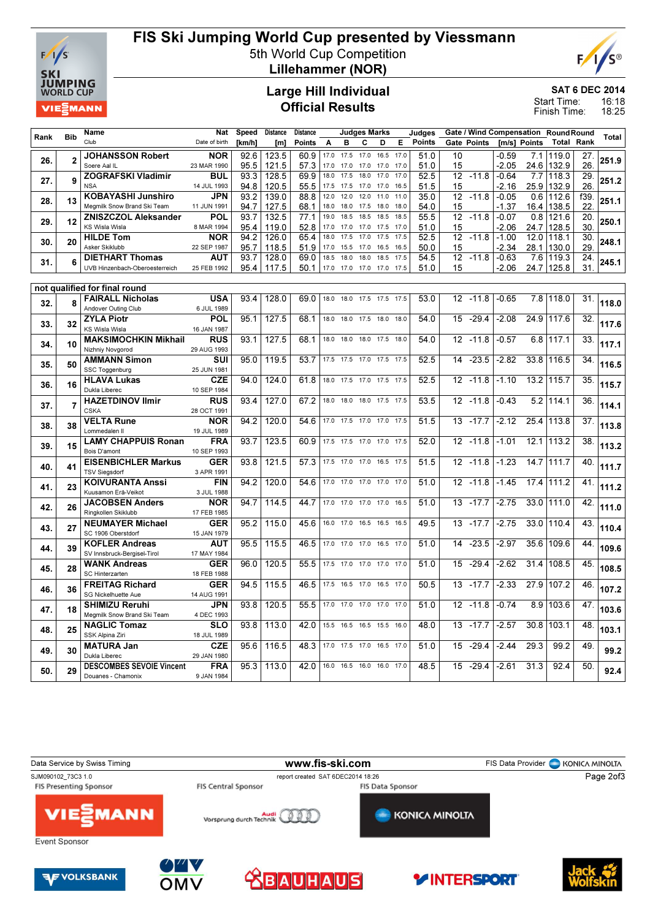

## FIS Ski Jumping World Cup presented by Viessmann

5th World Cup Competition



Lillehammer (NOR)

#### Large Hill Individual Official Results

SAT 6 DEC 2014

16:18 18:25 Start Time: Finish Time:

|      |                | <b>Name</b>                                                | <b>Nat</b>                | <b>Speed</b> | <b>Distance</b> | <b>Distance</b> |              |                     | <b>Judges Marks</b> |                          |              | Judges        |                 |             |                    |              | Gate / Wind Compensation Round Round |                 |              |
|------|----------------|------------------------------------------------------------|---------------------------|--------------|-----------------|-----------------|--------------|---------------------|---------------------|--------------------------|--------------|---------------|-----------------|-------------|--------------------|--------------|--------------------------------------|-----------------|--------------|
| Rank | <b>Bib</b>     | Club                                                       | Date of birth             | [km/h]       | [m]             | <b>Points</b>   | A            | B                   | C                   | D                        | E            | <b>Points</b> |                 | Gate Points |                    | [m/s] Points | Total                                | Rank            | <b>Total</b> |
| 26.  | $\overline{2}$ | <b>JOHANSSON Robert</b>                                    | <b>NOR</b>                | 92.6         | 123.5           | 60.9            |              | 17.0 17.5           | 17.0                | 16.5                     | 17.0         | 51.0          | 10              |             | $-0.59$            | 7.1          | 119.0                                | 27.             |              |
|      |                | Soere Aal IL                                               | 23 MAR 1990               | 95.5         | 121.5           | 57.3            | 17.0         | 17.0                | 17.0                | 17.0                     | 17.0         | 51.0          | 15              |             | $-2.05$            |              | 24.6 132.9                           | 26.             | 251.9        |
| 27.  | 9              | <b>ZOGRAFSKI Vladimir</b>                                  | <b>BUL</b>                | 93.3         | 128.5           | 69.9            | 18.0         | 17.5                | 18.0                | 17.0                     | 17.0         | 52.5          |                 | $12 - 11.8$ | $-0.64$            | 7.7          | 118.3                                | 29.             | 251.2        |
|      |                | <b>NSA</b>                                                 | 14 JUL 1993               | 94.8         | 120.5           | 55.5            | 17.5         | 17.5                | 17.0                | 17.0                     | 16.5         | 51.5          | 15              |             | $-2.16$            |              | 25.9 132.9                           | 26.             |              |
| 28.  | 13             | <b>KOBAYASHI Junshiro</b>                                  | <b>JPN</b>                | 93.2         | 139.0           | 88.8            | 12.0         | 12.0                | 12.0                | 11.0                     | 11.0         | 35.0          | $\overline{12}$ | $-11.8$     | $-0.05$            |              | 0.61112.6                            | f39.            | 251.1        |
|      |                | Megmilk Snow Brand Ski Team<br><b>ZNISZCZOL Aleksander</b> | 11 JUN 1991<br>POL        | 94.7<br>93.7 | 127.5           | 68.1<br>77.1    | 18.0<br>19.0 | 18.0<br>18.5        | 17.5<br>18.5        | 18.0<br>18.5             | 18.0<br>18.5 | 54.0<br>55.5  | 15<br>12        | $-11.8$     | $-1.37$<br>$-0.07$ | 0.8          | 16.4 138.5                           | 22.<br>20.      |              |
| 29.  | 12             | <b>KS Wisla Wisla</b>                                      | 8 MAR 1994                | 95.4         | 132.5<br>119.0  | 52.8            | 17.0         | 17.0                | 17.0                | 17.5                     | 17.0         | 51.0          | 15              |             | $-2.06$            | 24.7         | 121.6<br>128.5                       | 30.             | 250.1        |
|      |                | <b>HILDE Tom</b>                                           | NOR                       | 94.2         | 126.0           | 65.4            | 18.0         | 17.5                | 17.0                | 17.5                     | 17.5         | 52.5          |                 | $12 - 11.8$ | $-1.00$            | 12.0         | 118.1                                | 30.             |              |
| 30.  | 20             | Asker Skiklubb                                             | 22 SEP 1987               | 95.7         | 118.5           | 51.9            | 17.0         | 15.5                | 17.0                | 16.5                     | 16.5         | 50.0          | 15              |             | $-2.34$            | 28.1         | 130.0                                | 29.             | 248.1        |
|      |                | <b>DIETHART Thomas</b>                                     | <b>AUT</b>                | 93.7         | 128.0           | 69.0            | 18.5         | 18.0                | 18.0                | 18.5                     | 17.5         | 54.5          | 12              | $-11.8$     | $-0.63$            | 7.6          | 119.3                                | 24.             |              |
| 31.  | 6              | UVB Hinzenbach-Oberoesterreich                             | 25 FEB 1992               | 95.4         | 117.5           | 50.1            |              | 17.0 17.0           |                     | 17.0 17.0 17.5           |              | 51.0          | 15              |             | $-2.06$            | 24.7         | 125.8                                | 31.             | 245.1        |
|      |                |                                                            |                           |              |                 |                 |              |                     |                     |                          |              |               |                 |             |                    |              |                                      |                 |              |
|      |                | not qualified for final round                              |                           |              |                 |                 |              |                     |                     |                          |              |               |                 |             |                    |              |                                      |                 |              |
| 32.  | 8              | <b>FAIRALL Nicholas</b>                                    | <b>USA</b>                | 934          | 128.0           | 69.0            |              |                     |                     | 18.0 18.0 17.5 17.5 17.5 |              | 53.0          |                 | $12 - 11.8$ | $-0.65$            |              | 7.8 118.0                            | 31.             | 118.0        |
|      |                | Andover Outing Club<br><b>ZYLA Piotr</b>                   | 6 JUL 1989<br><b>POL</b>  | 95.1         | 127.5           | 68.1            | 18.0         | 18.0                | 17.5                |                          | 18.0         | 54.0          | 15              | $-29.4$     | $-2.08$            |              | 24.9 117.6                           | 32.             |              |
| 33.  | 32             | <b>KS Wisla Wisla</b>                                      | 16 JAN 1987               |              |                 |                 |              |                     |                     | 18.0                     |              |               |                 |             |                    |              |                                      |                 | 117.6        |
|      |                | <b>MAKSIMOCHKIN Mikhail</b>                                | <b>RUS</b>                | 93.1         | 127.5           | 68.1            | 18.0         | 18.0                | 18.0                | 17.5                     | 18.0         | 54.0          | 12              | $-11.8$     | $-0.57$            | 6.8          | 117.1                                | $\overline{33}$ |              |
| 34.  | 10             | Nizhniy Novgorod                                           | 29 AUG 1993               |              |                 |                 |              |                     |                     |                          |              |               |                 |             |                    |              |                                      |                 | 117.1        |
|      |                | <b>AMMANN Simon</b>                                        | SUI                       | 95.0         | 119.5           | 53.7            |              | 17.5 17.5           | 17.0 17.5           |                          | 17.5         | 52.5          | 14              | $-23.5$     | $-2.82$            |              | 33.8 116.5                           | 34.             |              |
| 35.  | 50             | SSC Toggenburg                                             | 25 JUN 1981               |              |                 |                 |              |                     |                     |                          |              |               |                 |             |                    |              |                                      |                 | 116.5        |
| 36.  | 16             | <b>HLAVA Lukas</b>                                         | <b>CZE</b>                | 94.0         | 124.0           | 61.8            |              |                     |                     | 18.0 17.5 17.0 17.5 17.5 |              | 52.5          | 12              | $-11.8$     | $-1.10$            |              | 13.2 115.7                           | 35.             | 115.7        |
|      |                | Dukla Liberec                                              | 10 SEP 1984               |              |                 |                 |              |                     |                     |                          |              |               |                 |             |                    |              |                                      |                 |              |
| 37.  | $\overline{7}$ | <b>HAZETDINOV Ilmir</b>                                    | <b>RUS</b>                | 93.4         | 127.0           | 67.2            | 18.0         | 18.0                |                     | 18.0 17.5 17.5           |              | 53.5          | 12              | $-11.8$     | $-0.43$            |              | 5.2 114.1                            | 36.             | 114.1        |
|      |                | <b>CSKA</b>                                                | 28 OCT 1991               |              |                 |                 |              |                     |                     |                          |              |               |                 |             |                    |              |                                      |                 |              |
| 38.  | 38             | <b>VELTA Rune</b><br>Lommedalen II                         | <b>NOR</b><br>19 JUL 1989 | 94.2         | 120.0           | 54.6            | 17.0         | 17.5                | 17.0                | 17.0                     | 17.5         | 51.5          | 13              | $-17.7$     | $-2.12$            | 25.4         | 113.8                                | 37.             | 113.8        |
|      |                | <b>LAMY CHAPPUIS Ronan</b>                                 | <b>FRA</b>                | 93.7         | 123.5           | 60.9            |              |                     |                     | 17.5 17.5 17.0 17.0 17.5 |              | 52.0          |                 | 12 - 11.8   | $-1.01$            | 12.1         | 113.2                                | $\overline{38}$ |              |
| 39.  | 15             | Bois D'amont                                               | 10 SEP 1993               |              |                 |                 |              |                     |                     |                          |              |               |                 |             |                    |              |                                      |                 | 113.2        |
|      |                | <b>EISENBICHLER Markus</b>                                 | <b>GER</b>                | 93.8         | 121.5           | 57.3            | 17.5         | 17.0                | 17.0                | 16.5                     | 17.5         | 51.5          | 12              | $-11.8$     | $-1.23$            | 14.7         | 111.7                                | 40.             |              |
| 40.  | 41             | <b>TSV Sieasdorf</b>                                       | 3 APR 1991                |              |                 |                 |              |                     |                     |                          |              |               |                 |             |                    |              |                                      |                 | 111.7        |
| 41.  | 23             | <b>KOIVURANTA Anssi</b>                                    | <b>FIN</b>                | 94.2         | 120.0           | 54.6            | 17.0         | 17.0                | 17.0                | 17.0                     | 17.0         | 51.0          | 12              | $-11.8$     | $-1.45$            | 17.4         | 111.2                                | 41.             | 111.2        |
|      |                | Kuusamon Erä-Veikot                                        | 3 JUL 1988                |              |                 |                 |              |                     |                     |                          |              |               |                 |             |                    |              |                                      |                 |              |
| 42.  | 26             | <b>JACOBSEN Anders</b>                                     | <b>NOR</b>                | 94.7         | 114.5           | 44.7            |              | 17.0 17.0 17.0 17.0 |                     |                          | 16.5         | 51.0          | 13              | $-17.7$     | $-2.75$            |              | 33.0 111.0                           | 42.             | 111.0        |
|      |                | Ringkollen Skiklubb                                        | 17 FEB 1985               |              |                 |                 |              |                     |                     |                          |              |               |                 |             |                    |              |                                      |                 |              |
| 43.  | 27             | <b>NEUMAYER Michael</b><br>SC 1906 Oberstdorf              | <b>GER</b><br>15 JAN 1979 | 95.2         | 115.0           | 45.6            |              | 16.0 17.0           | 16.5                | 16.5                     | 16.5         | 49.5          | 13              | $-17.7$     | $-2.75$            | 33.0         | 110.4                                | 43.             | 110.4        |
|      |                | <b>KOFLER Andreas</b>                                      | <b>AUT</b>                | 95.5         | 115.5           | 46.5            | 17.0         | 17.0                | 17.0                | 16.5                     | 17.0         | 51.0          | 14              | $-23.5$     | $-2.97$            |              | 35.6 109.6                           | 44              |              |
| 44.  | 39             | SV Innsbruck-Bergisel-Tirol                                | 17 MAY 1984               |              |                 |                 |              |                     |                     |                          |              |               |                 |             |                    |              |                                      |                 | 109.6        |
|      |                | <b>WANK Andreas</b>                                        | <b>GER</b>                | 96.0         | 120.5           | 55.5            | 17.5         | 17.0                | 17.0                | 17.0                     | 17.0         | 51.0          | 15              | $-29.4$     | $-2.62$            | 31.4         | 108.5                                | 45.             |              |
| 45.  | 28             | SC Hinterzarten                                            | 18 FEB 1988               |              |                 |                 |              |                     |                     |                          |              |               |                 |             |                    |              |                                      |                 | 108.5        |
| 46.  | 36             | <b>FREITAG Richard</b>                                     | <b>GER</b>                | 94.5         | 115.5           | 46.5            |              | 17.5 16.5           | 17.0                | 16.5 17.0                |              | 50.5          | 13              | $-17.7$     | $-2.33$            | 27.9         | 107.2                                | 46.             | 107.2        |
|      |                | SG Nickelhuette Aue                                        | 14 AUG 1991               |              |                 |                 |              |                     |                     |                          |              |               |                 |             |                    |              |                                      |                 |              |
| 47.  | 18             | <b>SHIMIZU Reruhi</b>                                      | <b>JPN</b>                | 93.8         | 120.5           | 55.5            | 17.0         | 17.0                | 17.0                | 17.0                     | 17.0         | 51.0          | 12              | $-11.8$     | $-0.74$            | 8.9          | 103.6                                | 47.             | 103.6        |
|      |                | Meamilk Snow Brand Ski Team                                | 4 DEC 1993                |              |                 |                 |              |                     |                     |                          |              |               |                 |             |                    |              |                                      |                 |              |
| 48.  | 25             | <b>NAGLIC Tomaz</b>                                        | <b>SLO</b>                | 93.8         | 113.0           | 42.0            | 15.5         | 16.5                | 16.5                | 15.5                     | 16.0         | 48.0          | 13              | $-17.7$     | $-2.57$            | 30.8         | 103.1                                | 48              | 103.1        |
|      |                | SSK Alpina Ziri<br><b>MATURA Jan</b>                       | 18 JUL 1989<br><b>CZE</b> | 95.6         | 116.5           | 48.3            |              | 17.0 17.5           | 17.0                | 16.5 17.0                |              | 51.0          | 15              | $-29.4$     | $-2.44$            | 29.3         | 99.2                                 | 49.             |              |
| 49.  | 30             | Dukla Liberec                                              | 29 JAN 1980               |              |                 |                 |              |                     |                     |                          |              |               |                 |             |                    |              |                                      |                 | 99.2         |
|      |                | <b>DESCOMBES SEVOIE Vincent</b>                            | <b>FRA</b>                | 95.3         | 113.0           | 42.0            |              | 16.0 16.5           |                     | 16.0 16.0 17.0           |              | 48.5          | 15              | $-29.4$     | $-2.61$            | 31.3         | 92.4                                 | 50.             |              |
| 50.  | 29             | Douanes - Chamonix                                         | 9 JAN 1984                |              |                 |                 |              |                     |                     |                          |              |               |                 |             |                    |              |                                      |                 | 92.4         |
|      |                |                                                            |                           |              |                 |                 |              |                     |                     |                          |              |               |                 |             |                    |              |                                      |                 |              |